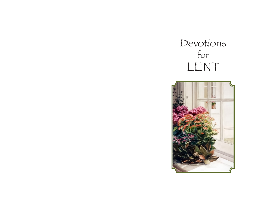# Devotions for LENT

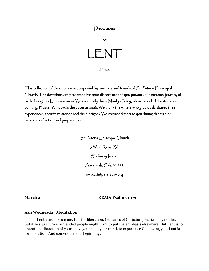## Devotions

for

LENT 2022

This collection of devotions was composed by members and friends of St. Peter's Episcopal Church. The devotions are presented for your discernment as you pursue your personal journey of faith during this Lenten season. We especially thank Marilyn Foley, whose wonderful watercolor painting, Easter Window, is the cover artwork. We thank the writers who graciously shared their experiences, their faith stories and their insights. We commend them to you during this time of personal reflection and preparation.

> St. Peter's Episcopal Church 3 West Ridge Rd, Skidaway Jsland, Savannah, GA, 31411 www.saintpeterssav.org

**March 2 READ: Psalm 51:1-9** 

#### **Ash Wednesday Meditation**

Lent is not for shame. It is for liberation. Centuries of Christian practice may not have put it so starkly. Well-intended people might want to put the emphasis elsewhere. But Lent is for liberation, liberation of your body, your soul, your mind, to experience God loving you. Lent is for liberation. And confession is its beginning.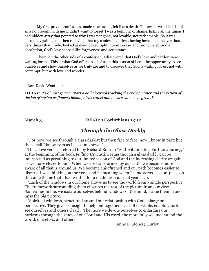My first private confession, made as an adult, felt like a death. The sweat-wrinkled list of sins I'd brought with me (I didn't want to forget!) was a bullhorn of shame, listing all the things I had hidden away that pointed to why I was not good, not lovable, not redeemable. So it was absolutely galling and then relieving, that my confessing priest, having heard me uncover those very things that I hide, looked at me– looked right into my eyes– and pronounced God's absolution, God's love shaped like forgiveness and acceptance.

There, on the other side of a confession, I discovered that God's love and pardon were waiting for me. This is what God offers to all of us in this season of Lent, the opportunity to see ourselves and show ourselves as we truly are and to discover that God is waiting for us, not with contempt, but with love and wonder.

#### --Rev. David Wantland

**TODAY:** *It's almost spring. Start a daily journal tracking the end of winter and the return of the joy of spring as flowers bloom, birds travel and bushes show new growth.* 

#### March 3 **READ: 1 Corinthians 13:12**

## *Through the Glass Darkly*

 "For now, we see through a glass darkly; but then face to face: now I know in part; but then shall I know even as I also am known."

 The above verse is referred to by Richard Rohr in "An Invitation to a Further Journey," at the beginning of his book *Falling Upward*. Seeing though a glass darkly can be interpreted as pertaining to our limited vision of God and the increasing clarity we gain as we move closer to him. When we are transformed by our faith, we become more aware of all that is around us. We become en*light*ened and our path becomes easier to discern. I was thinking on the verse and its meaning when I came across a short piece on the same theme that I had written for a meditation journal years ago:

 "Each of the windows in our home allows us to see the world from a single perspective. The framework surrounding them obscures the rest of the picture from our view. Sometimes in life, we isolate ourselves behind windows of the mind, frame them in and miss the big picture.

 "Spiritual windows, structured around our relationship with God enlarge our perspective. They give us insight to help put together s gestalt or whole, enabling us to see ourselves and others clearly. The more we devote ourselves to enlarging our horizons through the study of our Lord and His word, the more fully we understand the world, ourselves, and others."

Anne B. (Jones) Hurley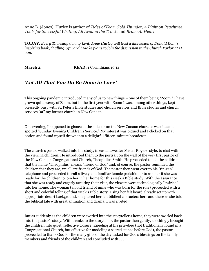Anne B. (Jones) Hurley is author of *Tides of Fear, Gold Thunder, A Light on Peachtree, Tools for Successful Writing, All Around the Track*, and *Brave At Heart*

**TODAY**: *Every Thursday during Lent, Anne Hurley will lead a discussion of Donald Rohr's inspiring book, "Falling Upward." Make plans to join the discussion in the Church Parlor at 11 a.m.*

**March 4 READ:** 1 Corinthians 16:14

## *'Let All That You Do Be Done in Love'*

This ongoing pandemic introduced many of us to new things – one of them being "Zoom." I have grown quite weary of Zoom, but in the first year with Zoom I was, among other things, kept blessedly busy with St. Peter's Bible studies and church services and Bible studies and church services "at" my former church in New Canaan.

One evening, I happened to glance at the sidebar on the New Canaan church's website and spotted "Sunday Evening Children's Service." My interest was piqued and I clicked on that option and found myself drawn into a delightful fifteen-minute broadcast.

The church's pastor walked into his study, in casual sweater Mister Rogers' style, to chat with the viewing children. He introduced them to the portrait on the wall of the very first pastor of the New Canaan Congregational Church, Theophilus Smith. He proceeded to tell the children that the name "Theophilus" means "friend of God" and, of course, the pastor reminded the children that they are, we all are friends of God. The pastor then went over to his "tin-can" telephone and proceeded to call a lively and familiar female parishioner to ask her if she was ready for the children to join her in her home for this week's Bible study. With the assurance that she was ready and eagerly awaiting their visit, the viewers were technologically "swirled" into her home. The woman (an old friend of mine who was born for the role) proceeded with a short and colorful telling of that week's Bible story. Using her felt board already set up with appropriate desert background, she placed her felt biblical characters here and there as she told the biblical tale with great animation and drama. I was riveted!

But as suddenly as the children were swirled into the storyteller's home, they were swirled back into the pastor's study. With thanks to the storyteller, the pastor then gently, soothingly brought the children into quiet, reflective closure. Kneeling at his prie-dieu (not traditionally found in a Congregational Church, but effective for modeling a sacred stance before God), the pastor proceeded to thank God for the many gifts of the day, asked for God's blessings on the family members and friends of the children and concluded with . . .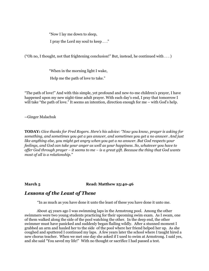"Now I lay me down to sleep,

I pray the Lord my soul to keep . . ."

("Oh no, I thought, not that frightening conclusion!" But, instead, he continued with . . . )

"When in the morning light I wake,

Help me the path of love to take."

"The path of love!" And with this simple, yet profound and new-to-me children's prayer, I have happened upon my new night-time adult prayer. With each day's end, I pray that tomorrow I will take "the path of love." It seems an intention, direction enough for me – with God's help.

--Ginger Malachuk

**TODAY:** *Give thanks for Fred Rogers. Here's his advice: "Now you know, prayer is asking for something, and sometimes you get a yes answer, and sometimes you get a no answer. And just like anything else, you might get angry when you get a no answer. But God respects your feelings, and God can take your anger as well as your happiness. So, whatever you have to offer God through prayer – it seems to me – is a great gift. Because the thing that God wants most of all is a relationship."* 

### **March 5 Read: Matthew 25:40-46**

## *Lessons of the Least of These*

"In as much as you have done it unto the least of these you have done it unto me.

About 45 years ago I was swimming laps in the Armstrong pool. Among the other swimmers were two young students practicing for their upcoming swim exam. As I swam, one of them walked along the side of the pool watching the other. In the deep end, the other swimmer must have panicked and suddenly began flailing wildly. After a stunned moment I grabbed an arm and hauled her to the side of the pool where her friend helped her up. As she coughed and sputtered I continued my laps. A few years later the school where I taught hired a new chorus teacher. When we met one day she asked if I used to swim at Armstrong. I said yes, and she said "You saved my life!" With no thought or sacrifice I had passed a test.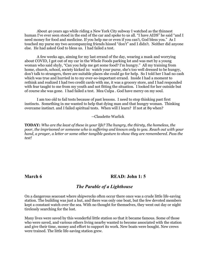About 40 years ago while riding a New York City subway I watched as the thinnest human I've ever seen stood in the end of the car and spoke to us all. "I have AIDS" he said "and I need money for food and medicine. If you help me or even if you can't, God bless you." As I touched my purse my two accompanying friends hissed "don't" and I didn't. Neither did anyone else. He had asked God to bless us. I had failed a test.

A few weeks ago, aiming for my last errand of the day, wearing a mask and worrying about COVID, I got out of my car in the Whole Foods parking lot and was met by a young woman who said shyly, "Can you help me get some food? I'm hungry." All my training from home, church, school, society kicked in: watch your purse, she's too well dressed to be hungry, don't talk to strangers, there are suitable places she could go for help. So I told her I had no cash which was true and hurried in to my ever-so-important errand. Inside I had a moment to rethink and realized I had two credit cards with me, it was a grocery store, and I had responded with fear taught to me from my youth and not fitting the situation. I looked for her outside but of course she was gone. I had failed a test. Mea Culpa . God have mercy on my soul.

I am too old to fail tests because of past lessons. I need to stop thinking past first instincts. Something in me wanted to help that dying man and that hungry woman. Thinking overcame instinct. and I failed spiritual tests. When will I learn? If not at 89 when?

#### --Claudette Warlick

**TODAY:** *Who are the least of these in your life? The hungry, the thirsty, the homeless, the poor, the imprisoned or someone who is suffering and known only to you. Reach out with your hand, a prayer, a letter or some other tangible gesture to show they are remembered. Pass the test!*

### **March 6 READ: John 1: 5**

### *The Parable of a Lighthouse*

On a dangerous seacoast where shipwrecks often occur there once was a crude little life-saving station. The building was just a hut, and there was only one boat, but the few devoted members kept a constant watch over the sea. With no thought for themselves, they went out day or night tirelessly searching for the lost.

Many lives were saved by this wonderful little station so that it became famous. Some of those who were saved, and various others living nearby wanted to become associated with the station and give their time, money and effort to support its work. New boats were bought. New crews were trained. The little life-saving station grew.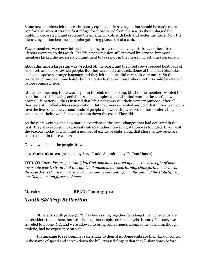Some new members felt the crude, poorly equipped life-saving station should be made more comfortable since it was the first refuge for those saved from the sea. So they enlarged the building, decorated it and replaced the emergency cots with beds and better furniture. Now the life-saving station became a popular gathering place, sort of a club.

Fewer members were now interested in going to sea on life-saving missions, so they hired lifeboat crews to do this work. The life-saving mission still received lip-service, but most members lacked the necessary commitment to take part in the life-saving activities personally.

About this time a large ship was wrecked off the coast, and the hired crews rescued boatloads of cold, wet, and half-drowned people. But they were dirty and sick. Some of them had black skin, and some spoke a strange language and they left the beautiful new club very messy. So the property committee immediately built an outside shower house where victims could be cleaned before coming inside.

At the next meeting, there was a split in the club membership. Most of the members wanted to stop the club's life-saving activities as being unpleasant and a hindrance to the club's nownormal life pattern. Others insisted that life-saving was still their primary purpose. After all, they were still called a life-saving station. But they were out-voted and told that if they wanted to save the lives of all the various kinds of people who were shipwrecked in those waters, they could begin their own life-saving station down the coast. They did.

As the years went by, the new station experienced the same changes that had occurred in the first. They also evolved into a social club so another life-saving station was founded. If you visit the seacoast today you will find a number of exclusive clubs along that shore. Shipwrecks are still frequent in those waters.

Only now, most of the people drown.

--**Author unknown** (Adapted by Steve Rudd, Submitted by Fr. Don Hands)

**TODAY:** *Raise this prayer: Almighty God, you have poured upon us the new light of your incarnate word: Grant that this light, enkindled in our hearts, may shine forth in our lives; through Jesus Christ our Lord, who lives and reigns with you in the unity of the Holy Spirit, one God, now and forever. Amen.*

### **March 7 READ: Timothy 4:12**

## *Youth Ski Trip Reflection*

St Peter's Youth group (SPY) has been skiing together for a long time. Some of us are better skiers than others, but we stick together despite our skill levels. In early February, we traveled to Boone, NC, and were allowed to bring some friends along, some of whom, though athletic, had no experience on skis.

It's amazing to see beginner skiers take to their skis. Some embrace their lack of control in the name of speed and careen down the hill, crossed-fingers that they'll slow down before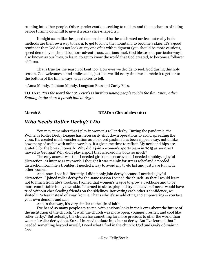running into other people. Others prefer caution, seeking to understand the mechanics of skiing before turning downhill to give it a pizza slice-shaped try.

It might seem like the speed demon should be the celebrated novice, but really both methods are their own way to learn, to get to know the mountain, to become a skier. It's a good reminder that God does not look at any one of us with judgment (you should be more cautious, speed demon; you should be more adventurous, cautious one). God blesses our particular ways, also known as our lives, to learn, to get to know the world that God created, to become a follower of Jesus.

 That's true for the season of Lent too. How ever we decide to seek God during this holy season, God welcomes it and smiles at us, just like we did every time we all made it together to the bottom of the hill, always with stories to tell.

--Anna Mondy, Jackson Mondy, Langston Bass and Carey Bass.

**TODAY:** *Pass the word that St. Peter's is inviting young people to join the fun. Every other Sunday in the church parish hall at 6:30.* 

### **March 8 READ: 1 Chronicles 16:11**

## *Who Needs Roller Derby? I Do*

You may remember that I play in women's roller derby. During the pandemic, the Women's Roller Derby League has necessarily shut down operations to avoid spreading the virus. It's created much consternation as a beloved pastime has been ripped away, not unlike how many of us felt with online worship. It's given me time to reflect. My neck and hips are grateful for the break, honestly. Why did I join a women's sports team in 2015 as soon as I moved to Georgia? Why did I play a sport that wrecked my body so much?

The easy answer was that I needed girlfriends nearby and I needed a hobby, a joyful distraction, as intense as my work. I thought it was mainly for stress relief and a needed distraction from life's troubles. I needed a way to avoid my to-do list and just have fun with other women.

And, now, I see it differently. I didn't only join derby because I needed a joyful distraction. I joined roller derby for the same reason I joined the church: so that I would learn not to flinch from life's troubles. I joined that women's league to grow a backbone and to be more comfortable in my own skin. I learned to skate, play and try maneuvers I never would have tried without cheerleading friends on the sidelines. Borrowing each other's confidence, we skated *into* fear instead of away from it. That's why it's so addicting and empowering -- you face your own demons and *win*.

And in that way, it's very similar to the life of faith.

I've heard so many people say to me, with anxious looks in their eyes about the future of the institution of the church, "I wish the church was more open, younger, fresher, and cool like roller derby." But actually, the church has something far more precious to offer the world than women's roller derby does. Sure, I learned to skate into fear at derby. But I've learned that I needed something beyond myself, I need what I find in the church: *God and God's abundant love*.

--Rev. Kelly Steele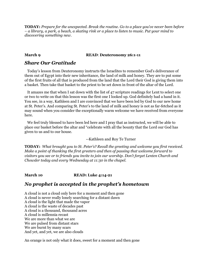**TODAY:** *Prepare for the unexpected. Break the routine. Go to a place you've never been before – a library, a park, a beach, a skating rink or a place to listen to music. Put your mind to discovering something new.*

### **March 9 READ**: **Deuteronomy 26:1-11**

## *Share Our Gratitude*

 Today's lesson from Deuteronomy instructs the Israelites to remember God's deliverance of them out of Egypt into their new inheritance, the land of milk and honey. They are to put some of the first fruits of all that is produced from the land that the Lord their God is giving them into a basket. Then take that basket to the priest to be set down in front of the altar of the Lord.

 It amazes me that when I sat down with the list of 47 scripture readings for Lent to select one or two to write on that this lesson was the first one I looked up. God definitely had a hand in it. You see, in a way, Kathleen and I are convinced that we have been led by God to our new home at St. Peter's. And comparing St. Peter's to the land of milk and honey is not as far-fetched as it may sound when you consider the exceptionally warm welcome we have received from everyone here.

 We feel truly blessed to have been led here and I pray that as instructed, we will be able to place our basket before the altar and "celebrate with all the bounty that the Lord our God has given to us and to our house.

### --Kathleen and Roy Te Turner

**TODAY:** *What brought you to St. Peter's? Recall the greeting and welcome you first received. Make a point of thanking the first greeters and then of passing that welcome forward to visitors you see or to friends you invite to join our worship. Don't forget Lenten Church and Chowder today and every Wednesday at 11:30 in the chapel.*

### **March 10 READ: Luke 4:14-21**

## *No prophet is accepted in the prophet's hometown*

A cloud is not a cloud only here for a moment and then gone A cloud is never really lonely searching for a distant dawn A cloud is the light that made the vapor A cloud is the waste of decades past A cloud is a thousand, thousand acres A cloud is millennia recast We are more than what we are We are pulsed from distant stars We are burnt by many scars And yet, and yet, we are also clouds

An orange is not only what it does, sweet for a moment and then gone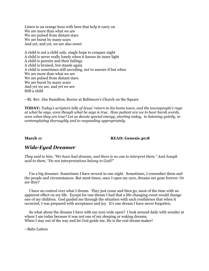Listen to an orange buzz with bees that help it carry on We are more than what we are We are pulsed from distant stars We are burnt by many scars And yet, and yet, we are also sweet

A child is not a child only, single hope to conquer night A child is never really lonely when it knows its inner light A child is parents and their failings A child is bruised, but stands again A child is sometimes still unveiling, not to answer if but when We are more than what we are We are pulsed from distant stars We are burnt by many scars And yet we are, and yet we are Still a child

--Rt. Rev. Jim Hamilton, Rector at Baltimore's Church on the Square

**TODAY:** *Today's scripture tells of Jesus' return to his home town, and the townspeople's rage at what he says, even though what he says is true. How patient are we to hear harsh words, even when they are true? Let us devote special energy, starting today, to listening quietly, to contemplating thoroughly and to responding appropriately.*

#### **March 11 READ: Genesis 40:8**

## *Wide-Eyed Dreamer*

*They said to him, "We have had dreams, and there is no one to interpret them." And Joseph said to them, "Do not interpretations belong to God?"*

 I'm a big dreamer. Sometimes I have several in one night. Sometimes, I remember them and the people and circumstances. But most times, once I open my eyes, dreams are gone forever. Or are they?

 I have no control over what I dream. They just come and then go, most of the time with no apparent effect on my life. Except for one dream I had that a life-changing event would change one of my children. God guided me through the situation with such confidence that when it occurred, I was prepared with acceptance and joy. It's one dream I have never forgotten.

 So what about the dreams I have with my eyes wide open? I look around daily with wonder at where I am today because it was not one of my sleeping or waking dreams. When I stay out of the way and let God guide me, He is the real dream maker!

--Babs Lutton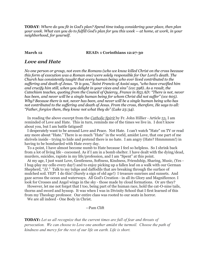**TODAY**: *Where do you fit in God's plan? Spend time today considering your place, then plan your week. What can you do to fulfill God's plan for you this week -- at home, at work, in your neighborhood, for yourself.*

**March 12 READ: 1 Corinthians 12:27-30** 

### *Love and Hate*

*No one person or group, not even the Romans (who we know killed Christ on the cross because this form of execution was a Roman one) were solely responsible for Our Lord's death. The Church has consistently taught that every human being who ever lived contributed to the suffering and death of Jesus. "It is you," Saint Francis of Assisi says, "who have crucified him and crucify him still, when you delight in your vices and sins" (ccc 598). As a result, the Catechism teaches, quoting from the Council of Quiercy, France in 853 AD: "There is not, never has been, and never will be a single human being for whom Christ did not suffer" (ccc 605). Why? Because there is not, never has been, and never will be a single human being who has not contributed to the suffering and death of Jesus. From the cross, therefore, He says to all: "Father, forgive them, they know not what they do" (Luke 23:34).*

 In reading the above excerpt from the *Catholic Spirit* by Fr. John Hillier - Article 53, I am reminded of Love and Hate. This in turn, reminds me of the times we live in. I don't know about you, but I am battle fatigued!

 I desperately want to be around Love and Peace. Not Hate. I can't watch "Hate" on TV or read any more about "Hate." There is so much "Hate" in the world, amidst Love, that one part of me shrivels inside - trying to hide and pretend there is no hate. I am angry (Hate? Hmmmmm!) in having to be bombarded with Hate every day.

 To a point, I have almost become numb to Hate because I feel so helpless. So I shrink back from a lot of living life - cocooned. As if I am in a bomb shelter. I have dealt with the dying/dead, murders, suicides, rapists in my life/profession, and I am "Spent" at this point.

 At my age, I just want Love, Gentleness, Softness, Kindness, Friendship, Sharing, Music, (Yes - I hug-play my cello every day!) and to enjoy picking up a fallen leaf on a walk with our German Shepherd, "JJ." Talk to my tulips and daffodils that are breaking through the surface of mulched soil. YEP! I do this! (Surely a sign of old age!) I treasure sunrises and sunsets. And gaze across the ocean and waterways. All God's Creation - in all its Glory and Magnificence. I look for Crosses and Angel wings in the sky - those made by cloud formations. Or are they?

 However, let me not forget that I too, being part of the human race, hold the cat-O-nine tails, thorns and sword and hyssop. It was when I was in Divinity School that I first learned of this from my Theology professor. Our entire class was rooted to our seats in horror.

We are all indeed - One Body in Christ.

#### --Pam Clift

**TODAY:** *Let us all recognize that the current times are full of fear and threats of persecution. We can choose to Love one another amidst the turmoil. Choose the path of kindness and mercy for the rest of our life on earth. Life is short.*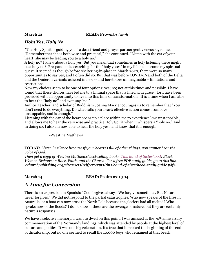### **March 13 READ: Proverbs 3:5-6**

## *Holy Yes, Holy No*

"The Holy Spirit is guiding you," a dear friend and prayer partner gently encouraged me. "Remember that she is both wise and practical," she continued. "Listen with the ear of your heart; she may be leading you to a holy no."

A holy no? I knew about a holy yes. But you mean that sometimes in holy listening there might be a holy no? Pre-pandemic, searching for the "holy yeses" in my life had become my spiritual quest. It seemed as though before sheltering-in-place in March 2020, there were so many opportunities to say yes; and I often did so. But that was before COVID-19 and both of the Delta and the Omicron variants ushered in new -- and heretofore unimaginable – limitations and restrictions.

Now my choices seem to be one of four options: yes; no; not at this time; and possibly. I have found that these choices have led me to a liminal space that is filled with grace...for I have been provided with an opportunity to live into this time of transformation. It is a time when I am able to hear the "holy no" and even say "no."

Author, teacher, and scholar of Buddhism Joanna Macy encourages us to remember that "You don't need to do everything. Do what calls your heart: effective action comes from love unstoppable, and is enough."

Listening with the ear of the heart opens up a place within me to experience love unstoppable, and allows me to hear the very wise and practice Holy Spirit when it whispers a "holy no." And in doing so, I also am now able to hear the holy yes...and know that it is enough.

### --Westina Matthews

**TODAY:** *Listen in silence because if your heart is full of other things, you cannot hear the voice of God.* 

*Then get a copy of Westina Matthews' best-selling book: [This Band of Sisterhood:](https://www.churchpublishing.org/thisbandofsisterhood) Black Women Bishops on Race, Faith, and the Church. For a free PDF study guide, go to this link: <churchpublishing.org/siteassets/pdf/excerpts/this-band-of-sisterhood-study-guide.pdf>* 

### **March 14 READ: Psalm 27:13-14**

## *A Time for Conversion*

There is an expression in Spanish: "God forgives always. We forgive sometimes. But Nature never forgives." We did not respond to the partial catastrophes. Who now speaks of the fires in Australia, or a boat can now cross the North Pole because the glaciers had all melted? Who speaks now of the floods? I don't know if these are the revenge of nature, but they are certainly nature's responses.

We have a selective memory. I want to dwell on this point. I was amazed at the  $70<sup>th</sup>$  anniversary commemoration of the Normandy landings, which was attended by people at the highest level of culture and politics. It was one big celebration. It's true that it marked the beginning of the end of dictatorship, but no one seemed to recall the 10,000 boys who remained at that beach.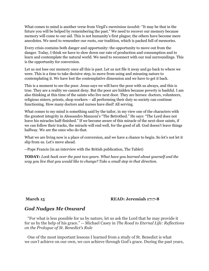What comes to mind is another verse from Virgil's *meminisse iuvabit:* "It may be that in the future you will be helped by remembering the past." We need to recover our memory because memory will come to our aid. This is not humanity's first plague; the others have become mere anecdotes. We need to remember our roots, our tradition, which is packed full of memories.

Every crisis contains both danger and opportunity: the opportunity to move out from the danger. Today, I think we have to slow down our rate of production and consumption and to learn and contemplate the natural world. We need to reconnect with our real surroundings. This is the opportunity for conversion.

Let us not lose our memory once all this is past. Let us not file it away and go back to where we were. This is a time to take decisive step, to move from using and misusing nature to contemplating it. We have lost the contemplative dimension and we have to get it back.

This is a moment to see the poor. Jesus says we will have the poor with us always, and this is true. They are a reality we cannot deny. But the poor are hidden because poverty is bashful. I am also thinking at this time of the saints who live next door. They are heroes: doctors, volunteers, religious sisters, priests, shop workers – all performing their duty so society can continue functioning. How many doctors and nurses have died! All serving.

What comes to my mind is something said by the tailor, in my view one of the characters with the greatest integrity in Alessandro Manzoni's "The Betrothed." He says: "The Lord does not leave his miracles half-finished." If we become aware of this miracle of the next-door saints, if we can follow their tracks, the miracle will end well, for the good of all. God doesn't leave things halfway. We are the ones who do that.

What we are living now is a place of conversion, and we have a chance to begin. So let's not let it slip from us. Let's move ahead.

--Pope Francis (in an interview with the British publication, The Tablet)

**TODAY:** *Look back over the past two years. What have you learned about yourself and the way you live that you would like to change? Take a small step in that direction.*

### **March 15 READ: Jeremiah 17:7-8**

## *God Nudges Me Onward*

 "For what is less possible for us by nature, let us ask the Lord that he may provide it for us by the help of his grace." -- Michael Casey in *The Road to Eternal Life: Reflections on the Prologue of St. Benedict's Rule*

 One of the most important lessons I learned from a study of St. Benedict is what we *can't* achieve on our own, we *can* achieve through God's grace. During the past years,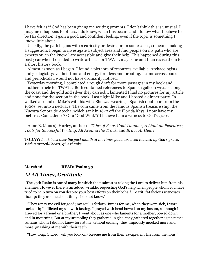I have felt as if God has been giving me writing prompts. I don't think this is unusual. I imagine it happens to others. I do know, when this occurs and I follow what I believe to be His direction, I gain a good and confident feeling, even if the topic is something I know little about.

 Usually, the path begins with a curiosity or desire, or, in some cases, someone making a suggestion. I begin to investigate a subject area and find people on my path who are experts or "in the know," are accessible and give their help. This happened during this past year when I decided to write articles for TWATL magazine and then revise them for a short history book.

 Almost as soon as I began, I found a plethora of resources available. Archaeologists and geologists gave their time and energy for ideas and proofing. I came across books and periodicals I would not have ordinarily noticed.

 Yesterday morning, I completed a rough draft for more passages in my book and another article for TWATL. Both contained references to Spanish galleon wrecks along the coast and the gold and silver they carried. I lamented I had no pictures for my article and none for the section in the book. Last night Mike and I hosted a dinner party. In walked a friend of Mike's with his wife. She was wearing a Spanish doubloon from the 1600s, set into a necklace. The coin came from the famous Spanish treasure ship, the Nuestra Senora de Atocha, which sank in 1622 off the Florida Keys. I now have my pictures. Coincidence? Or a "God Wink"? I believe I am a witness to God's grace.

--Anne B. (Jones) Hurley, author of *Tides of Fear, Gold Thunder, A Light on Peachtree, Tools for Successful Writing, All Around the Track,* and *Brave At Heart*

**TODAY:** *Look back over the past month at the times you have been touched by God's grace. With a grateful heart, give thanks.*

**March 16 READ: Psalm 35** 

### *At All Times, Gratitude*

 The 35th Psalm is one of many in which the psalmist is asking the Lord to deliver him from his enemies. However there is an added wrinkle, requesting God's help when people whom you have tried to help turn on you despite your best efforts on their behalf. To wit: "Malicious witnesses rise up; they ask me about things I do not know."

 "They repay me evil for good; my soul is forlorn. But as for me, when they were sick, I wore sackcloth; I afflicted myself with fasting. I prayed with head bowed on my bosom, as though I grieved for a friend or a brother; I went about as one who laments for a mother, bowed down and in mourning. But at my stumbling they gathered in glee, they gathered together against me; ruffians whom I did not know tore at me without ceasing; they impiously mocked more and more, gnashing at me with their teeth.

"How long, O Lord, will you look on? Rescue me from their ravages, my life from the lions!"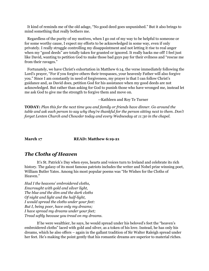It kind of reminds me of the old adage, "No good deed goes unpunished." But it also brings to mind something that really bothers me.

 Regardless of the purity of my motives, when I go out of my way to be helpful to someone or for some worthy cause, I expect my efforts to be acknowledged in some way, even if only privately. I really struggle controlling my disappointment and not letting it rise to real anger when my "good deeds" are totally taken for granted or ignored. It really hacks me off! I feel just like David, wanting to petition God to make those bad guys pay for their evilness and "rescue me from their ravages."

 Fortunately, we have Christ's exhortation in Matthew 6:14, the verse immediately following the Lord's prayer, "For if you forgive others their trespasses, your heavenly Father will also forgive you." Since I am constantly in need of forgiveness, my prayer is that I can follow Christ's guidance and, as David does, petition God for his assistance when my good deeds are not acknowledged. But rather than asking for God to punish those who have wronged me, instead let me ask God to give me the strength to forgive them and move on.

--Kathleen and Roy Te Turner

**TODAY:** *Plan this for the next time you and family or friends have dinner. Go around the table and ask each person to say why they're thankful for the person sitting next to them. Don't forget Lenten Church and Chowder today and every Wednesday at 11:30 in the chapel.*

#### **March 17 READ: Matthew 6:19-21**

## *The Cloths of Heaven*

It's St. Patrick's Day when eyes, hearts and voices turn to Ireland and celebrate its rich history. The galaxy of its most famous patriots includes the writer and Nobel prize winning poet, William Butler Yates. Among his most popular poems was "He Wishes for the Cloths of Heaven."

*Had I the heavens' embroidered cloths, Enwrought with gold and silver light, The blue and the dim and the dark cloths Of night and light and the half-light, I would spread the cloths under your feet: But I, being poor, have only my dreams; I have spread my dreams under your feet; Tread softly because you tread on my dreams.*

If he were wealthier, he says, he would spread under his beloved's feet the "heaven's embroidered cloths" laced with gold and silver, as a token of his love. Instead, he has only his dreams, which he also offers – again in the gallant tradition of Sir Walter Raleigh spread under her feet. He's making the point gently that his romantic dreams are superior to material riches.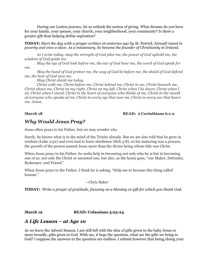During our Lenten journey, let us rethink the notion of giving. What dreams do you have for your family, your spouse, your church, your neighborhood, your community? Is there a greater gift than helping define aspiration?

**TODAY:** *Start the day with a prayer written 16 centuries ago by St. Patrick, himself raised in poverty and once a slave. As a missionary, he became the founder of Christianity in Ireland.* 

*As I arise today, may the strength of God pilot me, the power of God uphold me, the wisdom of God guide me.*

*May the eye of God look before me, the ear of God hear me, the word of God speak for me.* 

*May the hand of God protect me, the way of God lie before me, the shield of God defend me, the host of God save me.*

*May Christ shield me today.*

*Christ with me, Christ before me, Christ behind me, Christ in me, Christ beneath me, Christ above me, Christ on my right, Christ on my left, Christ when I lie down, Christ when I sit, Christ when I stand, Christ in the heart of everyone who thinks of me, Christ in the mouth of everyone who speaks of me, Christ in every eye that sees me, Christ in every ear that hears me. Amen.*

### **March 18 READ: 2 Corinthians 6:1-2**

## *Why Would Jesus Pray?*

Jesus often prays to his Father, but we may wonder why.

Surely, he knows what is in the mind of the Trinity already. But we are also told that he grew in wisdom (Luke 2:52) and even had to learn obedience (Heb 5:8), so his maturing was a process, the growth of the person named Jesus more than the divine being whose title was Christ.

When Jesus prays to his Father, he seeks help in becoming not only who he is but in becoming one of us, not only the Christ or anointed one, but also, as the hymn goes, "our Maker, Defender, Redeemer, and Friend."

When Jesus prays to the Father, I think he is asking, "Help me to become this thing called human."

--Chris Baker

**TODAY:** *Write a prayer of gratitude, focusing on a blessing or gift for which you thank God.* 

### March 19 **READ: Colassians 3:23-24**

## *A Life Lesson – at Age 10*

As we leave the Advent Season, I am still left with the idea of gifts given to the baby Jesus or more broadly, gifts given to God. With me, it begs the question, what are the gifts we bring to God? I suppose the answers to the question are endless. I submit however that being/doing your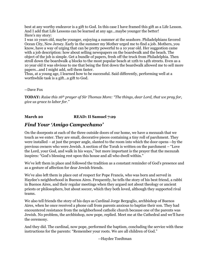best at any worthy endeavor is a gift to God. In this case I have framed this gift as a Life Lesson. And I add that Life Lessons can be learned at any age...maybe younger the better! Here's my story:

I was 10 years old, maybe younger, enjoying a summer at the seashore. Philadelphians favored Ocean City, New Jersey. Early in the summer my Mother urged me to find a job. Mothers, you know, have a way of urging that can be pretty powerful to a 10 year old. Her suggestion came with a job description: how about selling newspapers on the boardwalk and the beach. The object of the job is simple. Get a bundle of papers, fresh off the truck from Philadelphia. Then stroll down the boardwalk 4 blocks to the most popular beach at 12th to 14th streets. Even as a 10 year old it was obvious to me that being the first down the boardwalk allowed me to sell more papers...and I might add, sell them faster.

Thus, at a young age, I learned how to be successful. Said differently, performing well at a worthwhile task is a gift...a gift to God.

#### --Dave Fox

**TODAY:** *Raise this 16th prayer of Sir Thomas More: "The things, dear Lord, that we pray for, give us grace to labor for."*

### **March 20 READ: II Samuel 7:29**

## *Find Your 'Amigo Campechano'*

On the doorposts at each of the three outside doors of our home, we have a mezuzah that we touch as we enter. They are small, decorative pieces containing a tiny roll of parchment. They were installed – at just the proper angle, slanted to the room into which the door opens --by the previous owners who were Jewish. A section of the Torah is written on the parchment – "Love the Lord, your God, and walk in his ways," but more important is the prayer that the mezuzah inspires: "God's blessing rest upon this house and all who dwell within."

We've left them in place and followed the tradition as a constant reminder of God's presence and as a gesture of affection for dear Jewish friends.

We've also left them in place out of respect for Pope Francis, who was born and served in Haydee's neighborhood in Buenos Aires. Frequently, he tells the story of his best friend, a rabbi in Buenos Aires, and their regular meetings when they argued not about theology or ancient priests or philosophers, but about soccer, which they both loved, although they supported rival teams.

We also tell friends the story of his days as Cardinal Jorge Bergoglio, archbishop of Buenos Aires, when he once received a phone call from parents anxious to baptize their son. They had encountered resistance from the neighborhood catholic church because one of the parents was Jewish. No problem, the archbishop, now pope, replied. Meet me at the Cathedral and we'll have the ceremony.

And they did. The cardinal, now pope, performed the baptism, concluding the service with these instructions for the parents: "Remember your roots. We are all children of God."

--Haydee Toedtman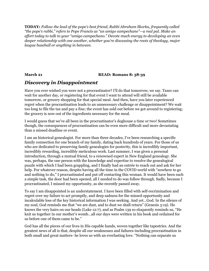**TODAY:** *Follow the lead of the pope's best friend, Rabbi Abraham Skorka, frequently called "the pope's rabbi," refers to Pope Francis as "un amigo campechano"—a real pal. Make an effort today to talk to your "amigo campechano." Devote much energy to developing an even deeper relationship with one another, whether you're discussing the roots of theology, major league baseball or anything in between.* 

### **March 21 READ: Romans 8: 38-39**

## *Discovery in Disappointment*

Have you ever wished you were not a procrastinator? I'll do that tomorrow, we say. Taxes can wait for another day, or registering for that event I want to attend will still be available tomorrow, or grocery shopping for that special meal. And then, have you later experienced regret when the procrastination leads to an unnecessary challenge or disappointment? We wait too long to file the tax and pay a fine; the event has sold out before we got around to registering; the grocery is now out of the ingredients necessary for the meal.

I would guess that we've all been in the procrastinator's doghouse a time or two! Sometimes though, the consequences of procrastination can be even more difficult and more devastating than a missed deadline or event.

I am an historical genealogist. For more than three decades, I've been researching a specific family connection for one branch of my family, dating back hundreds of years. For those of us who are dedicated to preserving family genealogies for posterity, this is incredibly important, incredibly rewarding, incredibly meticulous work. Last summer, I was given a personal introduction, through a mutual friend, to a renowned expert in New England genealogy. She was, perhaps, the one person with the knowledge and expertise to resolve the genealogical puzzle with which I had been grappling, and I finally had an entrée to reach out and ask for her help. For whatever reason, despite having all the time in the COVID world with "nowhere to go and nothing to do," I procrastinated and put off contacting this woman. It would have been such a simple task, the door had been opened, all I needed to do was follow through. Sadly, because I procrastinated, I missed my opportunity, as she recently passed away.

To say I am disappointed is an understatement. I have been filled with self-recrimination and regret over my failure to act promptly, and deep sadness for the missed opportunity and incalculable loss of the key historical information I was seeking. And yet…God. In the silence of my soul, God reminds me that "we are dust, and to dust we shall return" (Genesis 3:19). He knows the very hairs on our heads (Luke 12:7), and as Psalm 139 so eloquently reminds us, "He knit us together in our mother's womb…all our days were written in his book and ordained for us before one of them came to be."

God has all the pieces of our lives in His capable hands, woven together like tapestries. And the greatest news of all is that, despite all our weaknesses and failures-including procrastination in both small and great matters- he loves us with an everlasting love. "Nothing can separate us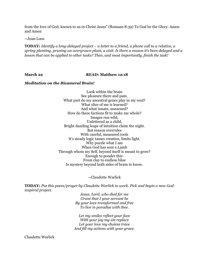from the love of God, known to us in Christ Jesus" (Romans 8:39) To God be the Glory. Amen and Amen

--Joan Loos

**TODAY:** *Identify a long-delayed project – a letter to a friend, a phone call to a relative, a spring planting, pruning an overgrown plant, a visit. Is there a reason it's been delayed and a lesson that can be applied to other tasks? Then, and most importantly, finish the task!*

#### **March 22 READ: Matthew 12:18**

### *Meditation on the Bicameral Brain!*

Look within the brain See pleasure there and pain. What part do my ancestral genes play in my soul? What slice of me is learned? And what innate, unearned? How do these factions fit to make me whole? Images run wild, Unfettered as a child, Bright dazzling leaps of intuition claim the night. But reason overrules With careful, measured tools It's steady logic tames creation, limits light. Why puzzle what I am When God has sent a Lamb Through whom my Self, beyond itself is meant to grow? Enough to ponder this: From clay to endless bliss Is mystery beyond both sides of brain to know.

#### --Claudette Warlick

**TODAY:** *Put this poem/prayer by Claudette Warlick to work. Pick and begin a new Godinspired project.* 

> *Jesus, Lord, who died for me Grant that I your servant be By your love transformed and free To live in paradise with thee.*

*Let my smiles reflect your face With your joy my sin replace Let your love my choices trace And fill my actions with your grace.*

Claudette Warlick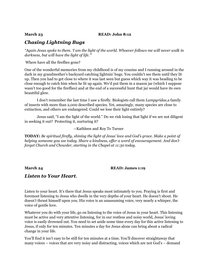### **March 23 READ: John 8:12**

## *Chasing Lightning Bugs*

*"Again Jesus spoke to them. 'I am the light of the world. Whoever follows me will never walk in darkness, but will have the light of life.'"* 

Where have all the fireflies gone?

One of the wonderful memories from my childhood is of my cousins and I running around in the dark in my grandmother's backyard catching lightnin' bugs. You couldn't see them until they lit up. Then you had to get close to where it was last seen but guess which way it was heading to be close enough to catch him when he lit up again. We'd put them in a mason jar (which I suppose wasn't too good for the fireflies) and at the end of a successful hunt that jar would have its own beautiful glow.

I don't remember the last time I saw a firefly. Biologists call them *Lampyridae,*a family of insects with more than 2,000 described species. Yet, amazingly, many species are close to extinction, and others are endangered. Could we lose their light entirely?

Jesus said, "I am the light of the world." Do we risk losing that light if we are not diligent in seeking it out? Protecting it, nurturing it?

--Kathleen and Roy Te Turner

**TODAY:** *Be spiritual firefly, shining the light of Jesus' love and God's grace. Make a point of helping someone you see today. Share a kindness, offer a word of encouragement. And don't forget Church and Chowder, starting in the Chapel at 11:30 today.*

#### **March 24 READ: James 1:19**

## *Listen to Your Heart***.**

Listen to your heart. It's there that Jesus speaks most intimately to you. Praying is first and foremost listening to Jesus who dwells in the very depths of your heart. He doesn't shout. He doesn't thrust himself upon you. His voice is an unassuming voice, very nearly a whisper, the voice of gentle love.

Whatever you do with your life, go on listening to the voice of Jesus in your heart. This listening must be active and very attentive listening, for in our restless and noisy world, Jesus' loving voice is easily drowned out. You need to set aside some time every day for this active listening to Jesus, if only for ten minutes. Ten minutes a day for Jesus alone can bring about a radical change in your life.

You'll find it isn't easy to be still for ten minutes at a time. You'll discover straightaway that many voices – voices that are very noisy and distracting, voices which are not God's – demand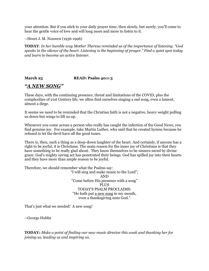your attention. But if you stick to your daily prayer time, then slowly, but surely, you'll come to hear the gentle voice of love and will long more and more to listen to it.

--Henri J. M. Nouwen (1936-1996)

**TODAY**: *In her humble way Mother Theresa reminded us of the importance of listening. "God speaks in the silence of the heart. Listening is the beginning of prayer." Find a quiet spot today and learn to become an active listener.*

### **March 25 READ: Psalm 40:1-3**

## *"A NEW SONG"*

These days, with the continuing presence, threat and limitations of the COVID, plus the complexities of 21st Century life, we often find ourselves singing a sad song, even a lament, almost a dirge.

It seems we need to be reminded that the Christian faith is not a negative, heavy weight pulling us down but wings to lift us up.

Whenever you come across a person who really has caught the infection of the Good News, you find genuine joy. For example, take Martin Luther, who said that he created hymns because he refused to let the devil have all the good tunes.

There is, then, such a thing as a deep-down laughter of the heart. And certainly, if anyone has a right to be joyful, it is Christians. The main reason for the inner joy of Christians is that they have something to be really glad about. They know themselves to be sinners saved by divine grace. God's mighty saving act has penetrated their beings. God has spilled joy into their hearts and they have more than ample reason to be joyful.

Therefore, we should remember what the Psalms say:

"I will sing and make music to the Lord"; AND "Come before His presence with a song" PLUS TODAY'S PSALM PROCLAIMS: "He hath put a new song in my mouth, even a thanksgiving unto God."

That's just what we needed! A new song!

--George Hubbs

**TODAY***: Make a point of finding our new music director this week and thanking her for joining us, leading us and inspiring us.*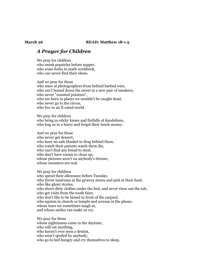#### **March 26 READ: Matthew 18-1-5**

## *A Prayer for Children*

We pray for children who sneak popsicles before supper, who erase holes in math workbook, who can never find their shoes.

And we pray for those who stare at photographers from behind barbed wire, who can't bound down the street in a new pair of sneakers, who never "counted potatoes", who are born in places we wouldn't be caught dead, who never go to the circus, who live in an X-rated world.

We pray for children who bring us sticky kisses and fistfulls of dandelions, who hug us in a hurry and forget their lunch money.

And we pray for those who never get dessert, who have no safe blanket to drag behind them, who watch their parents watch them die, who can't find any bread to steal, who don't have rooms to clean up, whose pictures aren't on anybody's dresser, whose monsters are real.

We pray for children who spend their allowance before Tuesday, who throw tantrums in the grocery stores and pick at their food, who like ghost stories, who shove dirty clothes under the bed, and never rinse out the tub, who get visits from the tooth fairy, who don't like to be kissed in front of the carpool, who squirm in church or temple and scream in the phone, whose tears we sometimes laugh at, and whose smiles can make us cry.

We pray for those whose nightmares come in the daytime, who will eat anything, who haven't ever seen a dentist, who aren't spoiled by anybody, who go to bed hungry and cry themselves to sleep,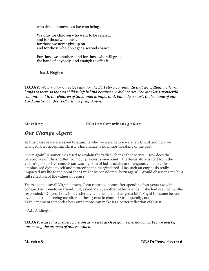who live and move, but have no being.

We pray for children who want to be carried, and for those who must, for those we never give up on and for those who don't get a second chance.

For those we smother...and for those who will grab the hand of anybody kind enough to offer it.

--Ina J. Hughes

**TODAY**: *We pray for ourselves and for the St. Peter's community that we willingly offer our hands to them so that no child is left behind because we did not act. The Market's wonderful commitment to the children of Savannah is important, but only a start. In the name of our Lord and Savior Jesus Christ, we pray. Amen.*

**March 27 READ: 2 Corinthians 5:16-17** 

## *Our Change -Agent*

In this passage we are asked to examine who we were before we knew Christ and how we changed after accepting Christ. This change is no minor tweaking of the past.

"Born again" is sometimes used to explain the radical change that occurs. How does the perspective of Christ differ from our pre-Jesus viewpoint? The Jesus story is told from the victim's perspective since Jesus was a victim of both secular and religious violence. Jesus emphasized dying to self and protecting the marginalized. Has such an emphasis really impacted my life to the point that I might be considered "born again"? Would observing me be a full reflection of the values of Jesus?

Years ago in a small Virginia town, John returned home after spending four years away in college. His hometown friend, Bill, asked Mary, another of his friends, if she had seen John. She responded, "Oh yes, I saw him yesterday, and he hasn't changed a bit!" Might the same be said by an old friend seeing me after all these years in church? Or, hopefully, not. Take a moment to ponder how our actions can make us a better reflection of Christ.

--A.L. Addington

**TODAY**: *Raise this prayer: Lord Jesus, as a branch of your vine, how may I serve you by answering the prayers of others. Amen.*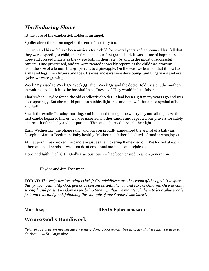## *The Enduring Flame*

At the base of the candlestick holder is an angel.

Spoiler alert: there's an angel at the end of the story too.

Our son and his wife have been anxious for a child for several years and announced last fall that they were expecting a child, their first -- and our first grandchild. It was a time of happiness, hope and crossed fingers as they were both in their late 40s and in the midst of successful careers. Time progressed, and we were treated to weekly reports as the child was growing - from the size of a lemon, to a grapefruit, to a pineapple. On the way, we learned that it now had arms and legs, then fingers and toes. Its eyes and ears were developing, and fingernails and even eyebrows were growing.

Week 20 passed to Week 30. Week 35. Then Week 39, and the doctor told Kristen, the motherin-waiting, to check into the hospital "next Tuesday." They would induce labor.

That's when Haydee found the old candlestick holder. It had been a gift many years ago and was used sparingly. But she would put it on a table, light the candle now. It became a symbol of hope and faith.

She lit the candle Tuesday morning, and it burned through the wintry day and all night. As the first candle began to flicker, Haydee inserted another candle and repeated our prayers for safety and health of the baby and her parents. The candle burned through the night.

Early Wednesday, the phone rang, and our son proudly announced the arrival of a baby girl, Josephine James Toedtman. Baby healthy. Mother and father delighted. Grandparents joyous!

At that point, we checked the candle – just as the flickering flame died out. We looked at each other, and held hands as we often do at emotional moments and rejoiced.

Hope and faith, the light – God's gracious touch -- had been passed to a new generation.

--Haydee and Jim Toedtman

**TODAY:** *The scripture for today is brief: Grandchildren are the crown of the aged. It inspires this prayer: Almighty God, you have blessed us with the joy and care of children. Give us calm strength and patient wisdom as we bring them up, that we may teach them to love whatever is just and true and good, following the example of our Savior Jesus Christ.*

### **March 29 READ: Ephesians 2:10**

## **We are God's Handiwork**

*"For grace is given not because we have done good works, but in order that we may be able to do them." --* St. Augustine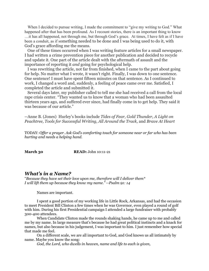When I decided to pursue writing, I made the commitment to "give my writing to God." What happened after that has been profound. As I recount stories, there is an important thing to know …it has all happened, not through me, but through God's grace. At times, I have felt as if I have been a conduit, as if something needed to be done and I was being used to do it, with God's grace affording me the means.

 One of these times occurred when I was writing feature articles for a small newspaper. I had written a crime prevention piece for another publication and decided to recycle and update it. One part of the article dealt with the aftermath of assault and the importance of reporting it *and* going for psychological help.

 I was rewriting the article, not far from finished, when I came to the part about going for help. No matter what I wrote, it wasn't right. Finally, I was down to one sentence. One sentence! I must have spent fifteen minutes on that sentence. As I continued to work, I changed a word and, suddenly, a feeling of peace came over me. Satisfied, I completed the article and submitted it.

 Several days later, my publisher called to tell me she had received a call from the local rape crisis center. "They wanted us to know that a woman who had been assaulted thirteen years ago, and suffered ever since, had finally come in to get help. They said it was because of our article."

--Anne B. (Jones) Hurley's books include *Tides of Fear, Gold Thunder, A Light on Peachtree, Tools for Successful Writing, All Around the Track,* and *Brave At Heart*

TODAY: *Offer a prayer. Ask God's comforting touch for someone near or far who has been hurting and needs a helping hand.* 

**March 30 READ:** John 10:11-21

### *What's in a Name?*

"*Because they have set their love upon me, therefore will I deliver them\* I will lift them up because they know my name." --Psalm 91: 14* 

Names are important.

I spent a good portion of my working life in Little Rock, Arkansas, and had the occasion to meet President Bill Clinton a few times when he was Governor, even played a round of golf with him. During his first Presidential campaign I attended a large fundraiser with probably 300-400 attendees.

When Candidate Clinton made the rounds shaking hands, he came up to me and called me by my name. In large measure that's because he had great political instincts and a knack for names, but also because in his judgement, I was important to him. I just remember how special that made me feel.

On a different scale, we are all important to God, and God knows us all intimately by name. Maybe you know the song:

*God, the Lord, who dwells in heaven, name and life to each is given,*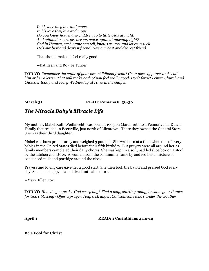*In his love they live and move. In his love they live and move. Do you know how many children go to little beds at night, And without a care or sorrow, wake again at morning light? God in Heaven, each name can tell, knows us, too, and loves us well. He's our best and dearest friend. He's our best and dearest friend.*

That should make us feel really good.

--Kathleen and Roy Te Turner

**TODAY:** *Remember the name of your best childhood friend? Get a piece of paper and send him or her a letter. That will make both of you feel really good. Don't forget Lenten Church and Chowder today and every Wednesday at 11:30 in the chapel.*

**March 31 READ: Romans 8: 38-39** 

## *The Miracle Baby's Miracle Life*

My mother, Mabel Ruth Weitknecht, was born in 1903 on March 16th to a Pennsylvania Dutch Family that resided in Beersville, just north of Allentown. There they owned the General Store. She was their third daughter.

Mabel was born prematurely and weighed 3 pounds. She was born at a time when one of every babies in the United States died before their fifth birthday. But prayers were all around her as family members completed their daily chores. She was kept in a soft, padded shoe box on a stool by the kitchen coal stove. A woman from the community came by and fed her a mixture of condensed milk and porridge around the clock.

Prayers and loving care gave her a good start. She then took the baton and praised God every day. She had a happy life and lived until almost 102.

--Mary Ellen Fox

**TODAY:** *How do you praise God every day? Find a way, starting today, to show your thanks for God's blessing? Offer a prayer. Help a stranger. Call someone who's under the weather.* 

**April 1 READ: 1 Corinthians 4:10-14**

**Be a Fool for Christ**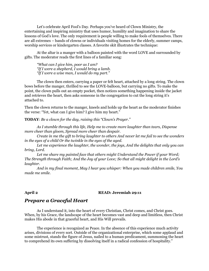Let's celebrate April Fool's Day. Perhaps you've heard of Clown Ministry, the entertaining and inspiring ministry that uses humor, humility and imagination to share the lessons of God's love. The only requirement is people willing to make fools of themselves. There are all extremes – bands of clowns or individuals visiting homes for the elderly, summer camps, worship services or kindergarten classes. A favorite skit illustrates the technique:

At the altar is a manger with a balloon painted with the word LOVE and surrounded by gifts. The moderator reads the first lines of a familiar song:

*"What can I give him, poor as I am? "If I were a shepherd, I would bring a lamb. "If I were a wise man, I would do my part."*

The clown then enters, carrying a paper or felt heart, attached by a long string. The clown bows before the manger, thrilled to see the LOVE-balloon, but carrying no gifts. To make the point, the clown pulls out an empty pocket, then notices something happening inside the jacket and retrieves the heart, then asks someone in the congregation to cut the long string it's attached to.

Then the clown returns to the manger, kneels and holds up the heart as the moderator finishes the verse: "Yet, what can I give him? I give him my heart."

**TODAY**: *Be a clown for the day, raising this "Clown's Prayer."*

*As I stumble through this life, Help me to create more laughter than tears, Dispense more cheer than gloom, Spread more cheer than despair.*

*Create in me the gift to bring laughter to others And never let me fail to see the wonders in the eyes of a child Or the twinkle in the eyes of the aged.*

*Let me experience the laughter, the wonder, the joys, And the delights that only you can bring, Lord.*

*Let me share my painted face that others might Understand the Power if your Word; The Strength through Faith; And the Joy of your Love; So that all might delight in the Lord's laughter.*

*And in my final moment, May I hear you whisper: When you made children smile, You made me smile.*

#### **April 2 READ: Jeremiah 29:11**

## *Prepare a Graceful Heart*

As I understand it, into the heart of every Christian, Christ comes, and Christ goes. When, by his Grace, the landscape of the heart becomes vast and deep and limitless, then Christ makes His abode in that graceful heart, and His Will prevails.

The experience is recognized as Peace. In the absence of this experience much activity arises, divisions of every sort. Outside of the organizational enterprise, which some applaud and some mistrust, stands the figure of Jesus, nailed to a human predicament, summoning the heart to comprehend its own suffering by dissolving itself in a radical confession of hospitality."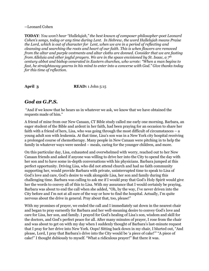#### --Leonard Cohen

**TODAY**: *You won't hear "Hallelujah," the best known of composer-philosopher-poet Leonard Cohen's songs, today or any time during Lent. In Hebrew, the word Hallelujah means Praise the Lord, which is out of character for Lent, when we are in a period of reflecting and cleansing and searching the roots and heart of our faith. This is when flowers are removed from the altar and purple vestments and altar cloths are donned. Consider that we are fasting from Alleluia and other joyful prayers. We are in the space envisioned by St. Isaac, a 7th century abbot and bishop venerated in Eastern churches, who wrote: "When a man begins to fast, he straightaway yearns in his mind to enter into a converse with God." Give thanks today for this time of reflection.* 

**April 3 READ:** 1 John 5:15

## *God as G.P.S.*

"And if we know that he hears us in whatever we ask, we know that we have obtained the requests made of him."

A friend of mine from our New Canaan, CT Bible study called me early one morning. Barbara, an eager student of the Bible and ardent in her faith, had been praying for an occasion to share her faith with a friend of hers, Lisa, who was going through the most difficult of circumstances  $-$  a young adult son with leukemia. At that time, Lisa's son was in a New York city hospital receiving a prolonged course of chemotherapy. Many people in New Canaan were pitching in to help the family in whatever ways were needed – meals, caring for the younger children, and more.

On this particular day, Lisa, exhausted and overwhelmed with worry, reached out to her New Canaan friends and asked if anyone was willing to drive her into the City to spend the day with her son and to have some in-depth conversations with his physicians. Barbara jumped at this perfect opportunity. Driving Lisa, who did not attend church and had no faith community supporting her, would provide Barbara with private, uninterrupted time to speak to Lisa of God's love and care, God's desire to walk alongside Lisa, her son and family during this challenging time. Barbara was calling to ask me if I would pray that God's Holy Spirit would give her the words to convey all of this to Lisa. With my assurance that I would certainly be praying, Barbara was about to end the call when she added, "Oh, by the way, I've never driven into the City before and I'm not at all sure of the way or how to find the hospital. Actually, I'm quite nervous about the drive in general. Pray about that, too, please!"

With my promises of prayer, we ended the call and I immediately sat down in the nearest chair and began to pray earnestly for Barbara and her well-meaning desire to convey God's love and care for Lisa, her son, and family. I prayed for God's healing of Lisa's son, wisdom and skill for the doctors, and God's perfect peace for all. After many minutes of prayer, I rose from the chair and was about to get on with my day when I suddenly thought of Barbara's last-minute request that I pray for her drive into New York. Oops! Sitting back down in my chair, I blurted out, "And please, Lord, I pray that Barbara's drive into the City would be 'a piece of cake!'" "A piece of cake!" I thought dubiously to myself. "What a ridiculous prayer!" But there it was.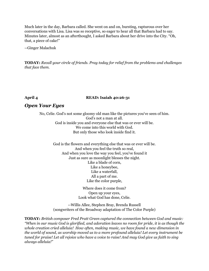Much later in the day, Barbara called. She went on and on, bursting, rapturous over her conversations with Lisa. Lisa was so receptive, so eager to hear all that Barbara had to say. Minutes later, almost as an afterthought, I asked Barbara about her drive into the City. "Oh, that, a piece of cake!"

--Ginger Malachuk

**TODAY:** *Recall your circle of friends. Pray today for relief from the problems and challenges that face them.*

### **April 4 READ: Isaiah 40:26-31**

## *Open Your Eyes*

No, Celie. God's not some gloomy old man like the pictures you've seen of him. God's not a man at all. God is inside you and everyone else that was or ever will be. We come into this world with God. But only those who look inside find it.

> God is the flowers and everything else that was or ever will be. And when you feel the truth so real, And when you love the way you feel, you've found it Just as sure as moonlight blesses the night. Like a blade of corn, Like a honeybee, Like a waterfall, All a part of me. Like the color purple,

> > Where does it come from? Open up your eyes, Look what God has done, Celie.

--Willis Allee, Stephen Bray, Brenda Russell (songwriters of the Broadway adaptation of The Color Purple)

**TODAY:** *British composer Fred Pratt Green captured the connection between God and music: "When in our music God is glorified, and adoration leaves no room for pride, it is as though the whole creation cried alleluia! How often, making music, we have found a new dimension in the world of sound, as worship moved us to a more profound alleluia! Let every instrument be tuned for praise! Let all rejoice who have a voice to raise! And may God give us faith to sing always alleluia!"*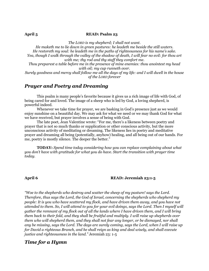#### April 5 READ: Psalm 23

*The LORD is my shepherd; I shall not want. He maketh me to lie down in green pastures: he leadeth me beside the still waters. He restoreth my soul: he leadeth me in the paths of righteousness for his name's sake. Yea, though I walk through the valley of the shadow of death, I will fear no evil: for thou art with me; thy rod and thy staff they comfort me.*

*Thou preparest a table before me in the presence of mine enemies: thou anointest my head with oil; my cup runneth over.*

*Surely goodness and mercy shall follow me all the days of my life: and I will dwell in the house of the LORD forever*

## *Prayer and Poetry and Dreaming*

This psalm is many people's favorite because it gives us a rich image of life with God, of being cared for and loved. The image of a sheep who is led by God, a loving shepherd, is powerful indeed.

Whenever we take time for prayer, we are basking in God's presence just as we would enjoy sunshine on a beautiful day. We may ask for what we need or we may thank God for what we have received, but prayer involves a sense of being with God.

The late poet, Jean Valentine wrote: "For me, there's a likeness between poetry and prayer that is not so much thanks or supplication or other conscious activity, but the more unconscious activity of meditating or dreaming. The likeness lies in poetry and meditative prayer and dreaming all being (potentially, anyhow) healing, and all being out of our hands. For me, poetry is mostly silence. The deeper the better."

**TODAY:** *Spend time today considering how you can replace complaining about what you don't have with gratitude for what you do have. Start the transition with prayer time today.*

#### **April 6 READ: Jeremiah 23:1-5**

*"Woe to the shepherds who destroy and scatter the sheep of my pasture! says the Lord. Therefore, thus says the Lord, the God of Israel, concerning the shepherds who shepherd my people: It is you who have scattered my flock, and have driven them away, and you have not attended to them. So, I will attend to you for your evil doings, says the Lord. Then I myself will gather the remnant of my flock out of all the lands where I have driven them, and I will bring them back to their fold, and they shall be fruitful and multiply. I will raise up shepherds over them who will shepherd them, and they shall not fear any longer, or be dismayed, nor shall any be missing, says the Lord. The days are surely coming, says the Lord, when I will raise up for David a righteous Branch, and he shall reign as king and deal wisely, and shall execute justice and righteousness in the land."* Jeremiah 23: 1-5

## *Time for a Hymn*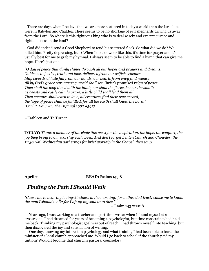There are days when I believe that we are more scattered in today's world than the Israelites were in Babylon and Chaldea. There seems to be no shortage of evil shepherds driving us away from the Lord. So where is this righteous king who is to deal wisely and execute justice and righteousness in the land?

 God did indeed send a Good Shepherd to tend his scattered flock. So what did we do? We killed him. Pretty depressing, huh? When I do a downer like this, it's time for prayer and it's usually best for me to grab my hymnal. I always seem to be able to find a hymn that can give me hope. Here's just one:

*"O day of peace that dimly shines through all our hopes and prayers and dreams, Guide us to justice, truth and love, delivered from our selfish schemes. May swords of hate fall from our hands, our hearts from envy find release, till by God's grace our warring world shall see Christ's promised reign of peace. Then shall the wolf dwell with the lamb, nor shall the fierce devour the small; as beasts and cattle calmly graze, a little child shall lead them all. Then enemies shall learn to love, all creatures find their true accord; the hope of peace shall be fulfilled, for all the earth shall know the Lord." (Carl P. Daw, Jr. The Hymnal 1982 #597)*

--Kathleen and Te Turner

**TODAY:** *Thank a member of the choir this week for the inspiration, the hope, the comfort, the joy they bring to our worship each week. And don't forget Lenten Church and Chowder, the 11:30 AM Wednesday gatherings for brief worship in the Chapel, then soup.*

#### **April 7 READ:** Psalms 143:8

## *Finding the Path I Should Walk*

"*Cause me to hear thy loving-kindness in the morning; for in thee do I trust: cause me to know the way I should walk; for I lift up my soul unto thee."*

-- Psalm 143 verse 8

 Years ago, I was working as a teacher and part-time writer when I found myself at a crossroads. I had dreamed for years of becoming a psychologist, but time constraints had held me back. Thinking my psychologist goal was out of reach, I had thrown myself into teaching, but then discovered the joy and satisfaction of writing.

 One day, knowing my interest in psychology and what training I had been able to have, the minister of a local church approached me. Would I go back to school if the church paid my tuition? Would I become that church's pastoral counselor?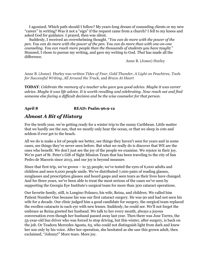I agonized. Which path should I follow? My years-long dream of counseling clients or my new "career" in writing? Was it not a "sign" if the request came from a church? I fell to my knees and asked God for guidance. I prayed, then was silent.

 Suddenly, I received an overwhelming thought. "*You can do more with the power of the pen*. *You can do more with the power of the pen. You can do more than with one-on-one counseling. You can reach more people than the thousands of students you have taught.*" Stunned, I chose to pursue my writing, and gave my writing to God. *That* has made all the difference.

Anne B. (Jones) Hurley

Anne B. (Jones) Hurley was written *Tides of Fear, Gold Thunder, A Light on Peachtree, Tools for Successful Writing, All Around the Track,* and *Brave At Heart*

**TODAY**: *Celebrate the memory of a teacher who gave you good advice. Maybe it was career advice. Maybe it was life advice. It is worth recalling and celebrating. Now reach out and find someone else facing a difficult decision and be the wise counselor for that person.*

## **April 8 READ: Psalm 96:9-12**

## *Almost A Bit of History*

For the tenth year, we're getting ready for a winter trip to the sunny Caribbean. Little matter that we hardly see the sun, that we mostly only hear the ocean, or that we sleep in cots and seldom if ever get to the beach.

All we do is make a lot of people see better, see things they haven't seen for years and in some cases, see things they've never seen before. But what we really do is discover that WE are the ones who benefit. We don't just see the joy of the people we examine. We rejoice in their joy. We're part of St. Peter's Gift of Sight Mission Team that has been traveling to the city of San Pedro de Macoris since 2013, and our joy is beyond measure.

Since that first trip, we've grown – to 35 people; we've tested the eyes of 6,000 adults and children and seen 6,000 people smile. We've distributed 7,000 pairs of reading glasses, sunglasses and prescription glasses and heard gasps and seen tears as their lives have changed. And for three years, we've been able to treat the most serious of the cases we've seen by supporting the Georgia Eye Institute's surgical team for more than 300 cataract operations.

Our favorite family, still, is Longino Polanco, his wife, Reina, and children. We called him Patient Number One because his was our first cataract surgery. He was 90 and had not seen his wife for a decade. Our clinic judged him a good candidate for surgery, the surgical team replaced the swollen cataracts in each eye with new lenses. Suddenly, he could see. We'll not forget the embrace as Reina greeted her husband. We talk to her every month, always a joyous conversation even though her husband passed away last year. Then there was Jose Torres, the 55-year-old bus driver who was forced to stop driving, but this winter, after surgery, is back on the job. Or Teadora Mercedes Agosta, 63, who could not distinguish light from dark and knew her son only by his voice. After her operation, she hesitated as she saw this grown adult, then exclaimed, "Johnny!" More tears. More joy.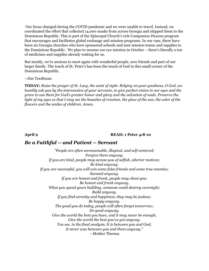Our focus changed during the COVID pandemic and we were unable to travel. Instead, we coordinated the effort that collected 14,000 masks from across Georgia and shipped them to the Dominican Republic. This is part of the Episcopal Church's rich Companion Diocese program that encourages and facilitates global exchange and mission programs. In our case, there have been six Georgia churches who have sponsored schools and sent mission teams and supplies to the Dominican Republic. We plan to resume our eye mission in October – there's literally a ton of medicines and supplies already waiting for us.

But mostly, we're anxious to meet again with wonderful people, now friends and part of our larger family. The touch of St. Peter's has been the touch of God in this small corner of the Dominican Republic.

#### --Jim Toedtman

**TODAY:** *Raise the prayer of St. Lucy, the saint of sight. Relying on your goodness, O God, we humbly ask you by the intercession of your servants, to give perfect vision to our eyes and the grace to use them for God's greater honor and glory and the salvation of souls. Preserve the light of my eyes so that I may see the beauties of creation, the glow of the sun, the color of the flowers and the smiles of children. Amen.*

#### **April 9 READ: 1 Peter 4:8-10**

## *Be a Faithful -- and Patient -- Servant*

*"People are often unreasonable, illogical, and self-centered; Forgive them anyway. If you are kind, people may accuse you of selfish, ulterior motives; Be kind anyway. If you are successful, you will win some false friends and some true enemies; Succeed anyway. If you are honest and frank, people may cheat you; Be honest and frank anyway. What you spend years building, someone could destroy overnight; Build anyway. If you find serenity and happiness, they may be jealous; Be happy anyway. The good you do today, people will often forget tomorrow; Do good anyway. Give the world the best you have, and it may never be enough; Give the world the best you've got anyway. You see, in the final analysis, It is between you and God; It never was between you and them anyway."* —Mother Theresa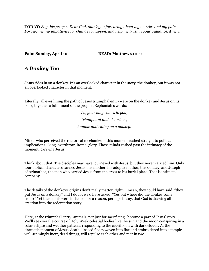**TODAY:** *Say this prayer: Dear God, thank you for caring about my worries and my pain. Forgive me my impatience for change to happen, and help me trust in your guidance. Amen.*

**Palm Sunday, April 10 READ: Matthew 21:1-11**

## *A Donkey Too*

Jesus rides in on a donkey. It's an overlooked character in the story, the donkey, but it was not an overlooked character in that moment.

Literally, all eyes lining the path of Jesus triumphal entry were on the donkey and Jesus on its back, together a fulfillment of the prophet Zephaniah's words:

> *Lo, your king comes to you; triumphant and victorious, humble and riding on a donkey!*

Minds who perceived the rhetorical mechanics of this moment rushed straight to political implications– king, overthrow, Rome, glory. Those minds rushed past the intimacy of the moment: carrying Jesus.

Think about that. The disciples may have journeyed with Jesus, but they never carried him. Only four biblical characters carried Jesus: his mother, his adoptive father, this donkey, and Joseph of Arimathea, the man who carried Jesus from the cross to his burial place. That is intimate company.

The details of the donkeys' origins don't really matter, right? I mean, they could have said, "they put Jesus on a donkey" and I doubt we'd have asked, "Yes but where did the donkey come from?" Yet the details were included, for a reason, perhaps to say, that God is drawing all creation into the redemption story.

Here, at the triumphal entry, animals, not just for sacrificing, become a part of Jesus' story. We'll see over the course of Holy Week celestial bodies like the sun and the moon conspiring in a solar eclipse and weather patterns responding to the crucifixion with dark clouds. At the dramatic moment of Jesus' death, linseed fibers woven into flax and embroidered into a temple veil, seemingly inert, dead things, will repulse each other and tear in two.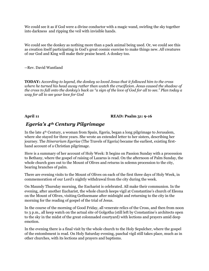We could see it as if God were a divine conductor with a magic wand, swirling the sky together into darkness and ripping the veil with invisible hands.

We could see the donkey as nothing more than a pack animal being used. Or, we could see this as creation itself participating in God's great cosmic exercise to make things new. *All* creatures of our God and King will make their praise heard. A donkey too.

--Rev. David Wantland

**TODAY:** *According to legend, the donkey so loved Jesus that it followed him to the cross where he turned his head away rather than watch the crucifixion. Jesus caused the shadow of the cross to fall onto the donkey's back as "a sign of the love of God for all to see." Plan today a way for all to see your love for God*

### **April 11 READ: Psalm 31: 9-16**

## *Egeria's 4th Century Pilgrimage*

In the late 4th Century, a woman from Spain, Egeria, began a long pilgrimage to Jerusalem, where she stayed for three years. She wrote an extended letter to her sisters, describing her journey. The *Itinerarium Egeriae* (The Travels of Egeria) became the earliest, existing firsthand account of a Christian pilgrimage.

Here is a summary of her account of Holy Week: It begins on Passion Sunday with a procession to Bethany, where the gospel of raising of Lazarus is read. On the afternoon of Palm Sunday, the whole church goes out to the Mount of Olives and returns in solemn procession to the city, bearing branches of palm.

There are evening visits to the Mount of Olives on each of the first three days of Holy Week, in commemoration of our Lord's nightly withdrawal from the city during the week.

On Maundy Thursday morning, the Eucharist is celebrated. All make their communion. In the evening, after another Eucharist, the whole church keeps vigil at Constantine's church of Eleona on the Mount of Olives, visiting Gethsemane after midnight and returning to the city in the morning for the reading of gospel of the trial of Jesus.

In the course of the morning of Good Friday, all venerate relics of the Cross, and then from noon to 3 p.m., all keep watch on the actual site of Golgotha (still left by Constantine's architects open to the sky in the midst of the great colonnaded courtyard) with lections and prayers amid deep emotion.

In the evening there is a final visit by the whole church to the Holy Sepulcher, where the gospel of the entombment is read. On Holy Saturday evening, paschal vigil still takes place, much as in other churches, with its lections and prayers and baptisms.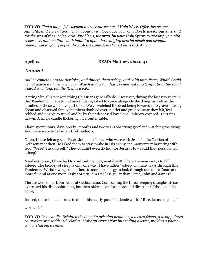**TODAY:** *Find a map of Jerusalem to trace the events of Holy Week. Offer this prayer: Almighty and eternal God, who in your great love gave your only Son to die for our sins, and for the sins of the whole world: Enable us, we pray, by your Holy Spirit, to worship you with reverence, and meditate with humility upon those mighty acts by which you brought redemption to your people; through the same Jesus Christ our Lord. Amen.* 

### **April 12 READ: Matthew 26:40-41**

## *Awake!*

*And he cometh unto the disciples, and findeth them asleep, and saith unto Peter, What? Could ye not watch with me one hour? Watch and pray, that ye enter not into temptation: the spirit indeed is willing, but the flesh is weak.*

"Sitting Shiva" is not something Christians generally do. However, during the last two years in this Pandemic, I have found myself being asked to come alongside the dying, as well as the families of those who have just died. We've watched the dead being lowered into graves through Zoom and observed family members doubled over in grief and guilt because they felt/feel robbed and unable to travel and be by their deceased loved one. Mirrors covered. Curtains drawn. A single candle flickering on a center table.

I have spent hours, days, weeks, months and two years observing grief and watching the dying. And there were times when **I fell asleep.**

Often, I have felt angry at Peter, John and James who were with Jesus in the Garden of Gethsemane when He asked them to stay awake in His agony and momentary bartering with God. "Geee" I ask myself. "They couldn't even do *that* for Jesus? How could they possibly fall asleep?"

Needless to say, I have had to confront my judgmental self! There are many ways to fall asleep. The biology of sleep is only one way. I have fallen "asleep" in many ways through this Pandemic. Withdrawing from others to store up energy to look through one more Zoom at one more funeral at one more casket or urn. Am I no less guilty than Peter, John and James?

The answer comes from Jesus at Gethsemane. Confronting the three sleeping disciples, Jesus expressed his disappointment, but then offered comfort, hope and direction: "Rise, let us be going."

Indeed, there is much for us to do in this nearly post-Pandemic world. "Rise, let us be going."

### --Pam Clift

**TODAY:** *Be a candle. Brighten the day of a grieving neighbor, a weary friend, a disappointed co-worker or a saddened relative. Make an extra effort by sending a letter, making a phone call or sharing a smile.*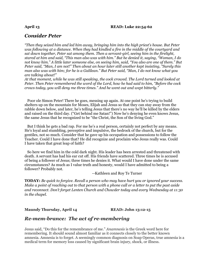#### **April 13 READ: Luke 22:54-62**

## *Consider Peter*

*"Then they seized him and led him away, bringing him into the high priest's house. But Peter was following at a distance. When they had kindled a fire in the middle of the courtyard and sat down together, Peter sat among them. Then a servant-girl, seeing him in the firelight, stared at him and said, "This man also was with him." But he denied it, saying, "Woman, I do not know him." A little later someone else, on seeing him, said, "You also are one of them." But Peter said, "Man, I am not!" Then about an hour later still another kept insisting, "Surely this man also was with him; for he is a Galilean." But Peter said, "Man, I do not know what you are talking about!"*

*At that moment, while he was still speaking, the cock crowed. The Lord turned and looked at Peter. Then Peter remembered the word of the Lord, how he had said to him, "Before the cock crows today, you will deny me three times." And he went out and wept bitterly."*

 Poor ole Simon Peter! There he goes, messing up again. At one point he's trying to build shelters up on the mountain for Moses, Elijah and Jesus so that they can stay away from the rabble down below, and later, he's telling Jesus that there's no way he'll be killed by the elders and raised on the third day. ("Get behind me Satan!") Now he's denying he even knows Jesus, the same Jesus that he recognized to be "the Christ, the Son of the living God."

 But I think he gets a bad rap. For me he's a real person, certainly not perfect by any means. He's loyal and stumbling, perceptive and impulsive, the bedrock of the church, but for the gentiles, not so much. Consider that he gave up his occupation and possessions to follow the Teacher. Could I have done that? He did recognize and proclaim who Jesus really was. Could I have taken that great leap of faith?

 So here we find him in the cold dark night. His leader has been arrested and threatened with death. A servant has had his ear cut off. His friends have scattered. Three times he is accused of being a follower of Jesus; three times he denies it. What would I have done under the same circumstances? As much as I value truth and honesty, would I have admitted to being a follower? Probably not.

--Kathleen and Roy Te Turner

**TODAY:** *Be quick to forgive. Recall a person who may have hurt you or ignored your success. Make a point of reaching out to that person with a phone call or a letter to put the past aside and reconnect. Don't forget Lenten Church and Chowder today and every Wednesday at 11:30 in the chapel.*

### **Maundy Thursday, April 14 READ: John 13:12-15**

## *Re-mem-brance: The act of re-membering*

Jesus said, "Do this for the remembrance of me." *Anamnesis* is the Greek word here for remembering. It should sound almost familiar as it connects closely to the better known amnesia. Amnesia is to forget. A seemingly common diagnosis on Soap Operas, true amnesia is a medical term for memory loss caused by significant brain injury, shock, or illness.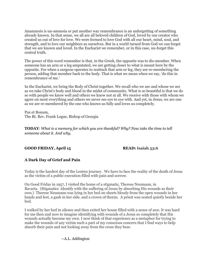Anamnesis is un-amnesia or put another way remembrance is an unforgetting of something already known. In that sense, we all are all beloved children of God, loved by our creator who created us out of love for love. We were formed to love God with all our heart, mind, soul, and strength, and to love our neighbors as ourselves. But in a world turned from God we can forget that we are known and loved. In the Eucharist we remember, or in this case, un-forget this central truth.

The power of this word remember is that, in the Greek, the opposite was to dis-member. When someone has an arm or a leg amputated, we are getting closer to what is meant here by the opposite. For when a surgeon operates to reattach that arm or leg, they are re-membering the person, adding that member back to the body. That is what we mean when we say, 'do this in remembrance of me.'

In the Eucharist, we bring the Body of Christ together. We recall who we are and whose we are as we take Christ's body and blood in the midst of community. What is so beautiful is that we do so with people we know well and others we know not at all. We receive with those with whom we agree on most everything and others we never see eye to eye with. And yet, in Jesus, we are one as we are re-membered by the one who knows us fully and loves us completely.

Pax et Bonum, The Rt. Rev. Frank Logue, Bishop of Georgia

**TODAY**: *What is a memory for which you are thankful? Why? Now take the time to tell someone about it. And why.*

### **GOOD FRIDAY, April 15 READ: Isaiah 53:6**

### **A Dark Day of Grief and Pain**

Today is the hardest day of the Lenten journey. We have to face the reality of the death of Jesus as the victim of a public execution filled with pain and sorrow.

On Good Friday in 1957, I visited the home of a stigmatic, Therese Neumann, in Bavaria. (Stigmatics identify with the suffering of Jesus by absorbing His wounds as their own.) Therese Neumann was lying in her bed on sheets bloody from the open wounds in her hands and feet, a gash in her side, and a crown of thorns. A priest was seated quietly beside her bed.

I walked by her bed in silence and then exited her house filled with a sense of awe. It was hard for me then and now to imagine identifying with wounds of a Jesus so completely that His wounds actually become my own. I now think of that experience as a metaphor for trying to make the wounds of any victim such a part of my conscious concern that I find ways to help absorb their pain and not looking away from the cross they bear.

### --A.L. Addington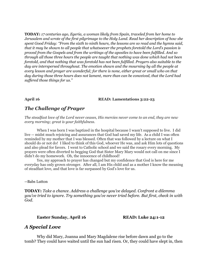**TODAY:** *17 centuries ago, Egeria, a woman likely from Spain, traveled from her home to Jerusalem and wrote of the first pilgrimage to the Holy Land. Read her description of how she spent Good Friday: "From the sixth to ninth hours, the lessons are so read and the hymns said, that it may be shown to all people that whatsoever the prophets foretold the Lord's passion is proved from the Gospels and from the writings of the apostles to have been fulfilled. And so through all those three hours the people are taught that nothing was done which had not been foretold, and that nothing that was foretold has not been fulfilled. Prayers also suitable to the day are interspersed throughout. The emotion shown and the mourning by all the people at every lesson and prayer are wonderful; for there is none, either great or small who on that day during those three hours does not lament, more than can be conceived, that the Lord had suffered those things for us."*

#### **April 16 READ: Lamentations 3:22-23**

## *The Challenge of Prayer*

*The steadfast love of the Lord never ceases, His mercies never come to an end, they are new every morning; great is your faithfulness*.

When I was born I was baptized in the hospital because I wasn't supposed to live. I did live -- midst much rejoicing and assurances that God had saved my life. As a child I was often reminded by my mother that I was blessed. Often that was followed by a lecture on what I should do or not do! I liked to think of this God, whoever He was, and ask Him lots of questions and also plead for favors. I went to Catholic school and we said the rosary every morning. My prayers were often diverted to begging God that Sister Mary Mary would not call on me since I didn't do my homework. Oh, the innocence of childhood!

Yes, my approach to prayer has changed but my confidence that God is here for me everyday has only grown stronger. After all, I am His child and as a mother I know the meaning of steadfast love, and that love is far surpassed by God's love for us.

--Babs Lutton

**TODAY:** *Take a chance. Address a challenge you've delayed. Confront a dilemma you've tried to ignore. Try something you've never tried before. But first, check in with God.*

**Easter Sunday, April 16 READ: Luke 24:1-12** 

## *A Special Love*

Why did Mary, Joanna and Mary Magdalene rise before dawn and go to the tomb? They could have waited until the sun had risen. Or, they could have slept in, then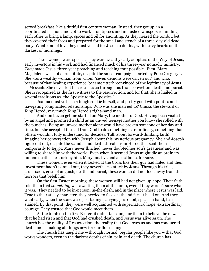served breakfast, like a dutiful first century woman. Instead, they got up, in a coordinated fashion, and got to work -- on tiptoes and in hushed whispers reminding each other to bring a lamp, spices and oil for anointing. As they neared the tomb, I bet they covered their faces and prepared for the smell and stench of a three-day-old dead body. What kind of love they must've had for Jesus to do this, with heavy hearts on this darkest of mornings.

These women were special. They were wealthy early adopters of the Way of Jesus, early investors in his work and had financed much of his three-year nomadic ministry. *They* made Jesus' three-year preaching and teaching tour possible. First, Mary Magdalene was not a prostitute, despite the smear campaign started by Pope Gregory I. She was a wealthy woman from whom "seven demons were driven out" and who, because of that healing experience, became utterly convinced of the legitimacy of Jesus as Messiah. She never left his side -- even through his trial, conviction, death and burial. She is recognized as the first witness to the resurrection, and for that, she is hailed in several traditions as "the Apostle to the Apostles."

Joanna must've been a tough cookie herself, and pretty good with politics and navigating complicated relationships. Who was she married to? Chuza, the steward of King Herod, very much King Herod's right-hand man.

And don't even get me started on Mary, the mother of God. Having been visited by an angel and promised a child as an unwed teenage mother you know she rolled with the punches! Being an unwed mother alone would have broken someone of her day and time, but she accepted the call from God to do something extraordinary, something that others wouldn't fully understand for decades. Talk about forward-thinking faith! Imagine her conversation with Joseph about this mysterious pregnancy! She and Joseph figured it out, despite the scandal and death threats from Herod that sent them temporarily to Egypt. Mary never flinched, never doubted her son's greatness and was willing to share him with the world. Even when it seemed Jesus might die an ordinary, human death, she stuck by him. Mary must've had a backbone, for sure.

These women, even when it looked at the Cross like their guy had failed and their investment hadn't panned out, they nevertheless stuck by Jesus. Through his trial, crucifixion, cries of anguish, death and burial, these women did not look away from the horrors that befell him.

On the first Easter morning, these women still had not given up hope. Their faith told them that *something* was awaiting them at the tomb, even if they weren't sure what it was. They needed to be in-person, in-the-flesh, and in the place where Jesus was laid. True to their steely character, they needed to face death and face it head on. And they went early, when the stars were just fading, carrying jars of oil, spices in hand, tearstained. By that point, they were well acquainted with supernatural hope, extraordinary courage. They trusted that God would meet them.

At the tomb on the first Easter, it didn't take long for them to believe the news that he had risen and that God had crushed death, and Jesus was alive again. The church has the reality of Resurrection, the reality that God loves us and has conquered death and is making all things new for our flourishing.

The church has taught me -- through normal, regular people like you -- that God works wonders, even in the darkest depths of sin, pain and death. The church has